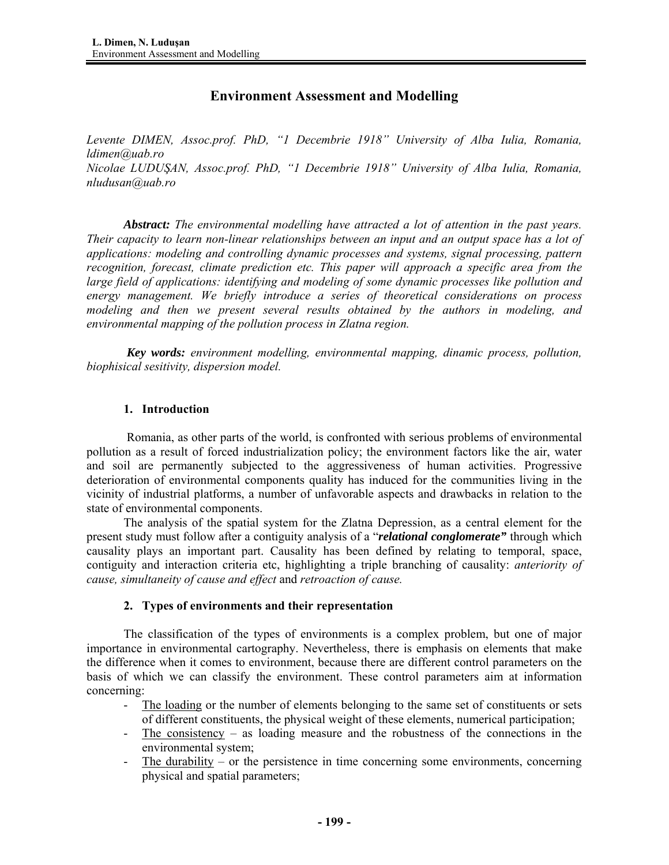# **Environment Assessment and Modelling**

*Levente DIMEN, Assoc.prof. PhD, "1 Decembrie 1918" University of Alba Iulia, Romania, ldimen@uab.ro Nicolae LUDUŞAN, Assoc.prof. PhD, "1 Decembrie 1918" University of Alba Iulia, Romania, nludusan@uab.ro* 

*Abstract: The environmental modelling have attracted a lot of attention in the past years. Their capacity to learn non-linear relationships between an input and an output space has a lot of applications: modeling and controlling dynamic processes and systems, signal processing, pattern recognition, forecast, climate prediction etc. This paper will approach a specific area from the large field of applications: identifying and modeling of some dynamic processes like pollution and energy management. We briefly introduce a series of theoretical considerations on process modeling and then we present several results obtained by the authors in modeling, and environmental mapping of the pollution process in Zlatna region.* 

*Key words: environment modelling, environmental mapping, dinamic process, pollution, biophisical sesitivity, dispersion model.* 

# **1. Introduction**

 Romania, as other parts of the world, is confronted with serious problems of environmental pollution as a result of forced industrialization policy; the environment factors like the air, water and soil are permanently subjected to the aggressiveness of human activities. Progressive deterioration of environmental components quality has induced for the communities living in the vicinity of industrial platforms, a number of unfavorable aspects and drawbacks in relation to the state of environmental components.

The analysis of the spatial system for the Zlatna Depression, as a central element for the present study must follow after a contiguity analysis of a "*relational conglomerate"* through which causality plays an important part. Causality has been defined by relating to temporal, space, contiguity and interaction criteria etc, highlighting a triple branching of causality: *anteriority of cause, simultaneity of cause and effect* and *retroaction of cause.* 

## **2. Types of environments and their representation**

The classification of the types of environments is a complex problem, but one of major importance in environmental cartography. Nevertheless, there is emphasis on elements that make the difference when it comes to environment, because there are different control parameters on the basis of which we can classify the environment. These control parameters aim at information concerning:

- The loading or the number of elements belonging to the same set of constituents or sets of different constituents, the physical weight of these elements, numerical participation;
- The consistency as loading measure and the robustness of the connections in the environmental system;
- The durability or the persistence in time concerning some environments, concerning physical and spatial parameters;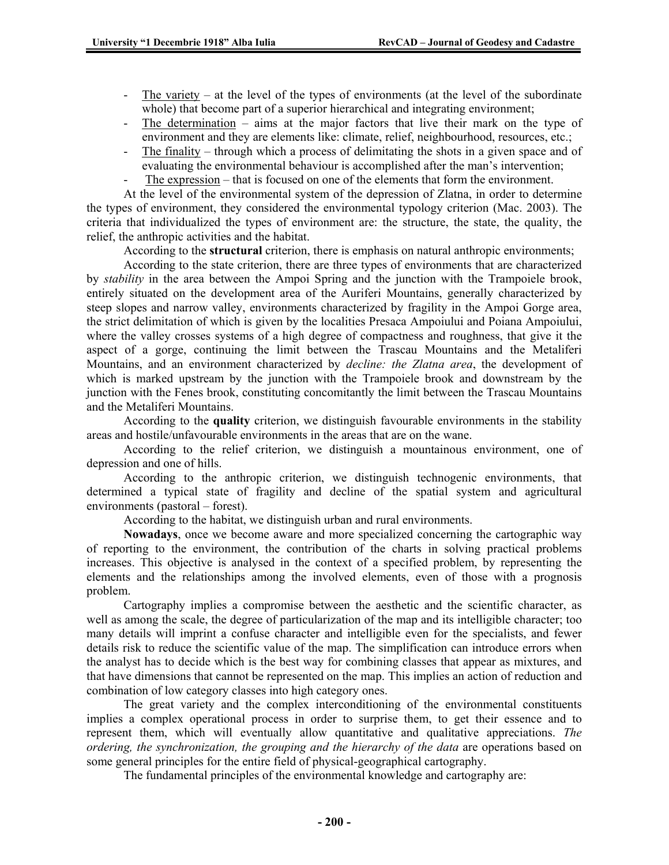- The variety at the level of the types of environments (at the level of the subordinate whole) that become part of a superior hierarchical and integrating environment;
- The determination aims at the major factors that live their mark on the type of environment and they are elements like: climate, relief, neighbourhood, resources, etc.;
- The finality through which a process of delimitating the shots in a given space and of evaluating the environmental behaviour is accomplished after the man's intervention;
- The expression that is focused on one of the elements that form the environment.

At the level of the environmental system of the depression of Zlatna, in order to determine the types of environment, they considered the environmental typology criterion (Mac. 2003). The criteria that individualized the types of environment are: the structure, the state, the quality, the relief, the anthropic activities and the habitat.

According to the **structural** criterion, there is emphasis on natural anthropic environments;

According to the state criterion, there are three types of environments that are characterized by *stability* in the area between the Ampoi Spring and the junction with the Trampoiele brook, entirely situated on the development area of the Auriferi Mountains, generally characterized by steep slopes and narrow valley, environments characterized by fragility in the Ampoi Gorge area, the strict delimitation of which is given by the localities Presaca Ampoiului and Poiana Ampoiului, where the valley crosses systems of a high degree of compactness and roughness, that give it the aspect of a gorge, continuing the limit between the Trascau Mountains and the Metaliferi Mountains, and an environment characterized by *decline: the Zlatna area*, the development of which is marked upstream by the junction with the Trampoiele brook and downstream by the junction with the Fenes brook, constituting concomitantly the limit between the Trascau Mountains and the Metaliferi Mountains.

According to the **quality** criterion, we distinguish favourable environments in the stability areas and hostile/unfavourable environments in the areas that are on the wane.

According to the relief criterion, we distinguish a mountainous environment, one of depression and one of hills.

According to the anthropic criterion, we distinguish technogenic environments, that determined a typical state of fragility and decline of the spatial system and agricultural environments (pastoral – forest).

According to the habitat, we distinguish urban and rural environments.

**Nowadays**, once we become aware and more specialized concerning the cartographic way of reporting to the environment, the contribution of the charts in solving practical problems increases. This objective is analysed in the context of a specified problem, by representing the elements and the relationships among the involved elements, even of those with a prognosis problem.

Cartography implies a compromise between the aesthetic and the scientific character, as well as among the scale, the degree of particularization of the map and its intelligible character; too many details will imprint a confuse character and intelligible even for the specialists, and fewer details risk to reduce the scientific value of the map. The simplification can introduce errors when the analyst has to decide which is the best way for combining classes that appear as mixtures, and that have dimensions that cannot be represented on the map. This implies an action of reduction and combination of low category classes into high category ones.

The great variety and the complex interconditioning of the environmental constituents implies a complex operational process in order to surprise them, to get their essence and to represent them, which will eventually allow quantitative and qualitative appreciations. *The ordering, the synchronization, the grouping and the hierarchy of the data* are operations based on some general principles for the entire field of physical-geographical cartography.

The fundamental principles of the environmental knowledge and cartography are: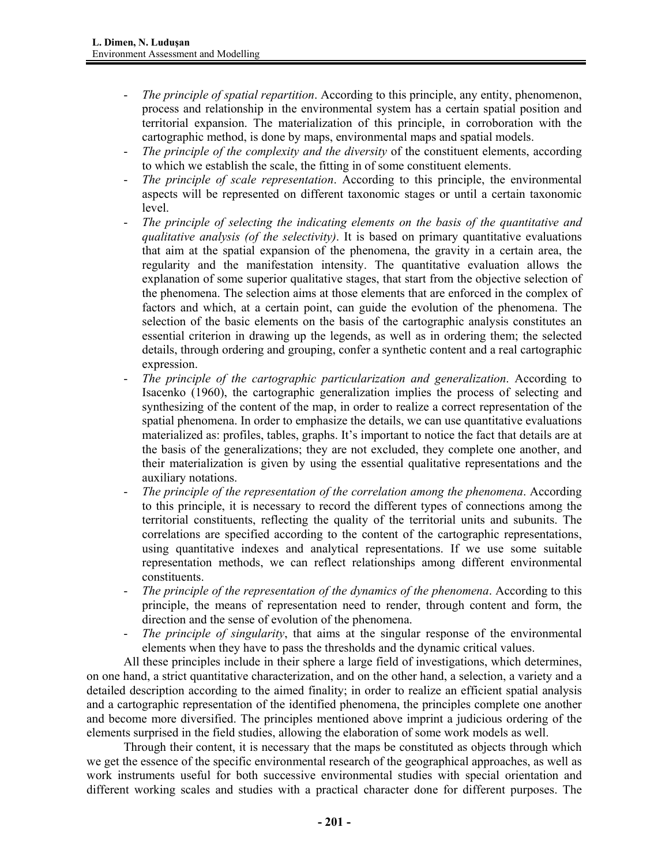- *The principle of spatial repartition*. According to this principle, any entity, phenomenon, process and relationship in the environmental system has a certain spatial position and territorial expansion. The materialization of this principle, in corroboration with the cartographic method, is done by maps, environmental maps and spatial models.
- *The principle of the complexity and the diversity* of the constituent elements, according to which we establish the scale, the fitting in of some constituent elements.
- The principle of scale representation. According to this principle, the environmental aspects will be represented on different taxonomic stages or until a certain taxonomic level.
- *The principle of selecting the indicating elements on the basis of the quantitative and qualitative analysis (of the selectivity)*. It is based on primary quantitative evaluations that aim at the spatial expansion of the phenomena, the gravity in a certain area, the regularity and the manifestation intensity. The quantitative evaluation allows the explanation of some superior qualitative stages, that start from the objective selection of the phenomena. The selection aims at those elements that are enforced in the complex of factors and which, at a certain point, can guide the evolution of the phenomena. The selection of the basic elements on the basis of the cartographic analysis constitutes an essential criterion in drawing up the legends, as well as in ordering them; the selected details, through ordering and grouping, confer a synthetic content and a real cartographic expression.
- *The principle of the cartographic particularization and generalization*. According to Isacenko (1960), the cartographic generalization implies the process of selecting and synthesizing of the content of the map, in order to realize a correct representation of the spatial phenomena. In order to emphasize the details, we can use quantitative evaluations materialized as: profiles, tables, graphs. It's important to notice the fact that details are at the basis of the generalizations; they are not excluded, they complete one another, and their materialization is given by using the essential qualitative representations and the auxiliary notations.
- *The principle of the representation of the correlation among the phenomena*. According to this principle, it is necessary to record the different types of connections among the territorial constituents, reflecting the quality of the territorial units and subunits. The correlations are specified according to the content of the cartographic representations, using quantitative indexes and analytical representations. If we use some suitable representation methods, we can reflect relationships among different environmental constituents.
- *The principle of the representation of the dynamics of the phenomena*. According to this principle, the means of representation need to render, through content and form, the direction and the sense of evolution of the phenomena.
- *The principle of singularity*, that aims at the singular response of the environmental elements when they have to pass the thresholds and the dynamic critical values.

All these principles include in their sphere a large field of investigations, which determines, on one hand, a strict quantitative characterization, and on the other hand, a selection, a variety and a detailed description according to the aimed finality; in order to realize an efficient spatial analysis and a cartographic representation of the identified phenomena, the principles complete one another and become more diversified. The principles mentioned above imprint a judicious ordering of the elements surprised in the field studies, allowing the elaboration of some work models as well.

Through their content, it is necessary that the maps be constituted as objects through which we get the essence of the specific environmental research of the geographical approaches, as well as work instruments useful for both successive environmental studies with special orientation and different working scales and studies with a practical character done for different purposes. The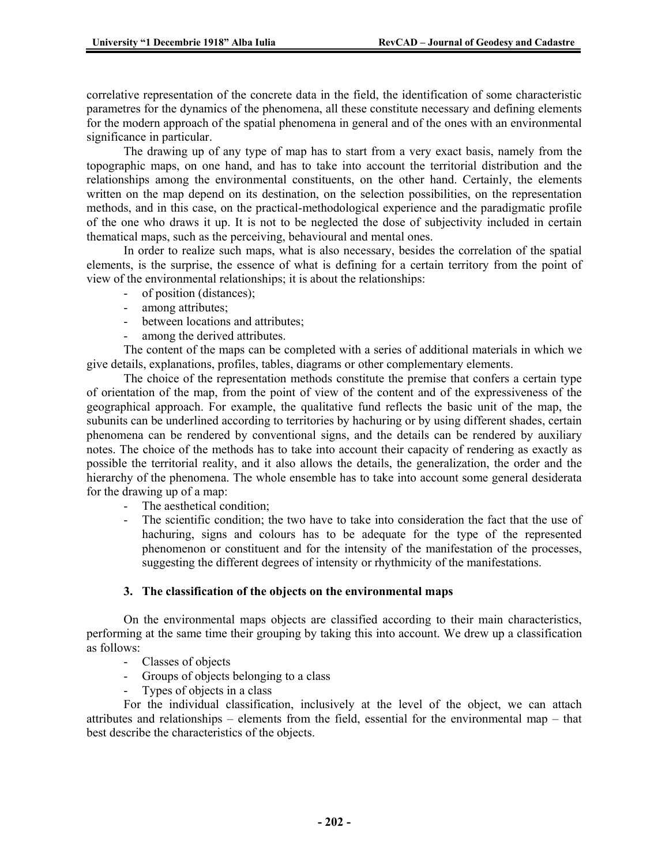correlative representation of the concrete data in the field, the identification of some characteristic parametres for the dynamics of the phenomena, all these constitute necessary and defining elements for the modern approach of the spatial phenomena in general and of the ones with an environmental significance in particular.

The drawing up of any type of map has to start from a very exact basis, namely from the topographic maps, on one hand, and has to take into account the territorial distribution and the relationships among the environmental constituents, on the other hand. Certainly, the elements written on the map depend on its destination, on the selection possibilities, on the representation methods, and in this case, on the practical-methodological experience and the paradigmatic profile of the one who draws it up. It is not to be neglected the dose of subjectivity included in certain thematical maps, such as the perceiving, behavioural and mental ones.

In order to realize such maps, what is also necessary, besides the correlation of the spatial elements, is the surprise, the essence of what is defining for a certain territory from the point of view of the environmental relationships; it is about the relationships:

- of position (distances);
- among attributes;
- between locations and attributes;
- among the derived attributes.

The content of the maps can be completed with a series of additional materials in which we give details, explanations, profiles, tables, diagrams or other complementary elements.

The choice of the representation methods constitute the premise that confers a certain type of orientation of the map, from the point of view of the content and of the expressiveness of the geographical approach. For example, the qualitative fund reflects the basic unit of the map, the subunits can be underlined according to territories by hachuring or by using different shades, certain phenomena can be rendered by conventional signs, and the details can be rendered by auxiliary notes. The choice of the methods has to take into account their capacity of rendering as exactly as possible the territorial reality, and it also allows the details, the generalization, the order and the hierarchy of the phenomena. The whole ensemble has to take into account some general desiderata for the drawing up of a map:

- The aesthetical condition;
- The scientific condition; the two have to take into consideration the fact that the use of hachuring, signs and colours has to be adequate for the type of the represented phenomenon or constituent and for the intensity of the manifestation of the processes, suggesting the different degrees of intensity or rhythmicity of the manifestations.

## **3. The classification of the objects on the environmental maps**

On the environmental maps objects are classified according to their main characteristics, performing at the same time their grouping by taking this into account. We drew up a classification as follows:

- Classes of objects
- Groups of objects belonging to a class
- Types of objects in a class

For the individual classification, inclusively at the level of the object, we can attach attributes and relationships – elements from the field, essential for the environmental map – that best describe the characteristics of the objects.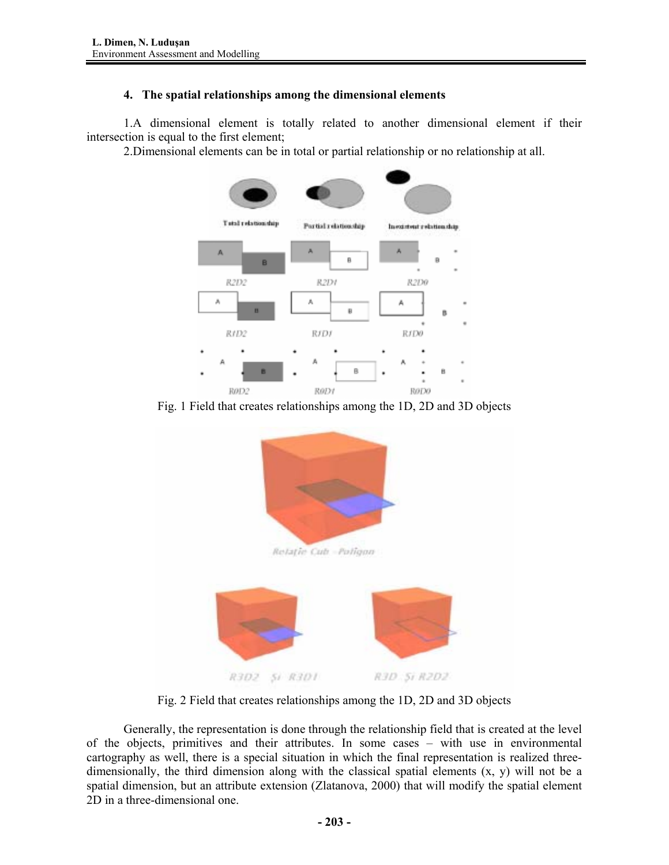# **4. The spatial relationships among the dimensional elements**

1.A dimensional element is totally related to another dimensional element if their intersection is equal to the first element;

2.Dimensional elements can be in total or partial relationship or no relationship at all.



Fig. 1 Field that creates relationships among the 1D, 2D and 3D objects



Fig. 2 Field that creates relationships among the 1D, 2D and 3D objects

Generally, the representation is done through the relationship field that is created at the level of the objects, primitives and their attributes. In some cases – with use in environmental cartography as well, there is a special situation in which the final representation is realized threedimensionally, the third dimension along with the classical spatial elements  $(x, y)$  will not be a spatial dimension, but an attribute extension (Zlatanova, 2000) that will modify the spatial element 2D in a three-dimensional one.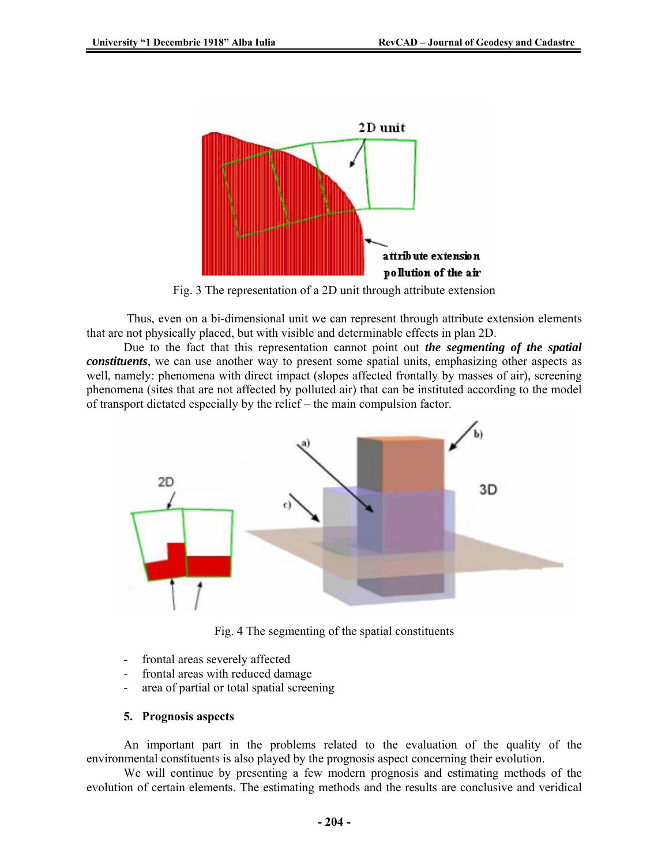

Fig. 3 The representation of a 2D unit through attribute extension

 Thus, even on a bi-dimensional unit we can represent through attribute extension elements that are not physically placed, but with visible and determinable effects in plan 2D.

Due to the fact that this representation cannot point out *the segmenting of the spatial constituents*, we can use another way to present some spatial units, emphasizing other aspects as well, namely: phenomena with direct impact (slopes affected frontally by masses of air), screening phenomena (sites that are not affected by polluted air) that can be instituted according to the model of transport dictated especially by the relief – the main compulsion factor.



Fig. 4 The segmenting of the spatial constituents

- frontal areas severely affected
- frontal areas with reduced damage
- area of partial or total spatial screening

#### **5. Prognosis aspects**

An important part in the problems related to the evaluation of the quality of the environmental constituents is also played by the prognosis aspect concerning their evolution.

We will continue by presenting a few modern prognosis and estimating methods of the evolution of certain elements. The estimating methods and the results are conclusive and veridical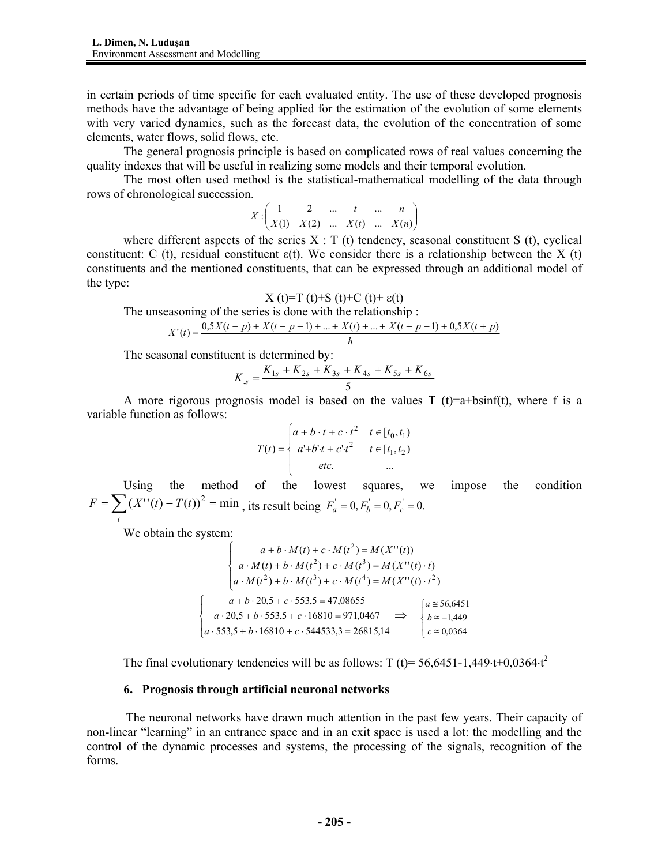in certain periods of time specific for each evaluated entity. The use of these developed prognosis methods have the advantage of being applied for the estimation of the evolution of some elements with very varied dynamics, such as the forecast data, the evolution of the concentration of some elements, water flows, solid flows, etc.

The general prognosis principle is based on complicated rows of real values concerning the quality indexes that will be useful in realizing some models and their temporal evolution.

The most often used method is the statistical-mathematical modelling of the data through rows of chronological succession.

> $\overline{\phantom{a}}$ J  $\backslash$  $\parallel$ ∖ ſ  $X: \begin{pmatrix} 1 & 2 & \dots & t & \dots & n \\ X(1) & X(2) & \dots & X(t) & \dots & X(n) \end{pmatrix}$

where different aspects of the series  $X : T(t)$  tendency, seasonal constituent S (t), cyclical constituent: C (t), residual constituent  $\varepsilon(t)$ . We consider there is a relationship between the X (t) constituents and the mentioned constituents, that can be expressed through an additional model of the type:

$$
X(t)=T(t)+S(t)+C(t)+\varepsilon(t)
$$

The unseasoning of the series is done with the relationship :

$$
X'(t) = \frac{0.5X(t-p) + X(t-p+1) + ... + X(t) + ... + X(t+p-1) + 0.5X(t+p)}{h}
$$

The seasonal constituent is determined by:

$$
\overline{K}_{.s} = \frac{K_{1s} + K_{2s} + K_{3s} + K_{4s} + K_{5s} + K_{6s}}{5}
$$

A more rigorous prognosis model is based on the values T (t)=a+bsinf(t), where f is a variable function as follows:

$$
T(t) = \begin{cases} a + b \cdot t + c \cdot t^2 & t \in [t_0, t_1) \\ a^t + b^t + c^t \cdot t^2 & t \in [t_1, t_2) \\ etc. & ... \end{cases}
$$

 Using the method of the lowest squares, we impose the condition  $=\sum_{t}(X''(t)-T(t))^{2}$  =  $F = \sum (X''(t) - T(t))^2 = \min$ , its result being  $F'_a = 0, F'_b = 0, F'_c = 0$ .

We obtain the system:

 $\overline{\phantom{a}}$  $\mathfrak{r}$ 

 $\overline{ }$ ₹  $\left\lceil \right\rceil$ 

$$
\begin{cases}\na + b \cdot M(t) + c \cdot M(t^2) = M(X''(t)) \\
a \cdot M(t) + b \cdot M(t^2) + c \cdot M(t^3) = M(X''(t) \cdot t) \\
a \cdot M(t^2) + b \cdot M(t^3) + c \cdot M(t^4) = M(X''(t) \cdot t^2) \\
a + b \cdot 20,5 + c \cdot 553,5 = 47,08655 \\
a \cdot 20,5 + b \cdot 553,5 + c \cdot 16810 = 971,0467 \implies \begin{cases}\na \ge 56,6451 \\
b \ge -1,449 \\
c \ge 0,0364\n\end{cases}\n\end{cases}
$$

The final evolutionary tendencies will be as follows: T (t)= 56,6451-1,449⋅t+0,0364⋅t<sup>2</sup>

#### **6. Prognosis through artificial neuronal networks**

 The neuronal networks have drawn much attention in the past few years. Their capacity of non-linear "learning" in an entrance space and in an exit space is used a lot: the modelling and the control of the dynamic processes and systems, the processing of the signals, recognition of the forms.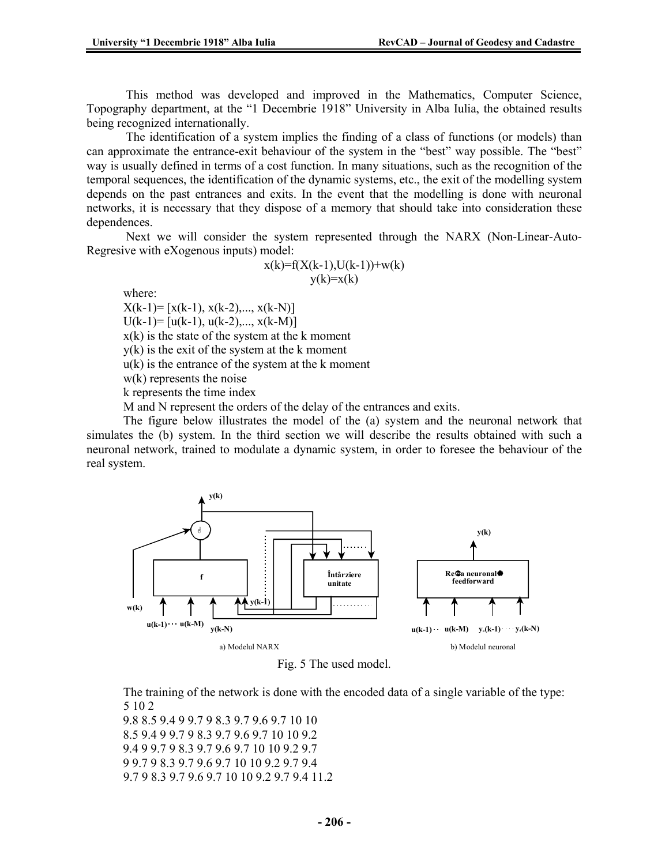This method was developed and improved in the Mathematics, Computer Science, Topography department, at the "1 Decembrie 1918" University in Alba Iulia, the obtained results being recognized internationally.

 The identification of a system implies the finding of a class of functions (or models) than can approximate the entrance-exit behaviour of the system in the "best" way possible. The "best" way is usually defined in terms of a cost function. In many situations, such as the recognition of the temporal sequences, the identification of the dynamic systems, etc., the exit of the modelling system depends on the past entrances and exits. In the event that the modelling is done with neuronal networks, it is necessary that they dispose of a memory that should take into consideration these dependences.

 Next we will consider the system represented through the NARX (Non-Linear-Auto-Regresive with eXogenous inputs) model:

$$
x(k)=f(X(k-1),U(k-1))+w(k) \ny(k)=x(k)
$$

where:

 $X(k-1)=[x(k-1), x(k-2),..., x(k-N)]$  $U(k-1)=[u(k-1), u(k-2),..., x(k-M)]$ 

 $x(k)$  is the state of the system at the k moment

y(k) is the exit of the system at the k moment

 $u(k)$  is the entrance of the system at the k moment

w(k) represents the noise

k represents the time index

M and N represent the orders of the delay of the entrances and exits.

 The figure below illustrates the model of the (a) system and the neuronal network that simulates the (b) system. In the third section we will describe the results obtained with such a neuronal network, trained to modulate a dynamic system, in order to foresee the behaviour of the real system.



Fig. 5 The used model.

 The training of the network is done with the encoded data of a single variable of the type: 5 10 2

9.8 8.5 9.4 9 9.7 9 8.3 9.7 9.6 9.7 10 10 8.5 9.4 9 9.7 9 8.3 9.7 9.6 9.7 10 10 9.2 9.4 9 9.7 9 8.3 9.7 9.6 9.7 10 10 9.2 9.7 9 9.7 9 8.3 9.7 9.6 9.7 10 10 9.2 9.7 9.4 9.7 9 8.3 9.7 9.6 9.7 10 10 9.2 9.7 9.4 11.2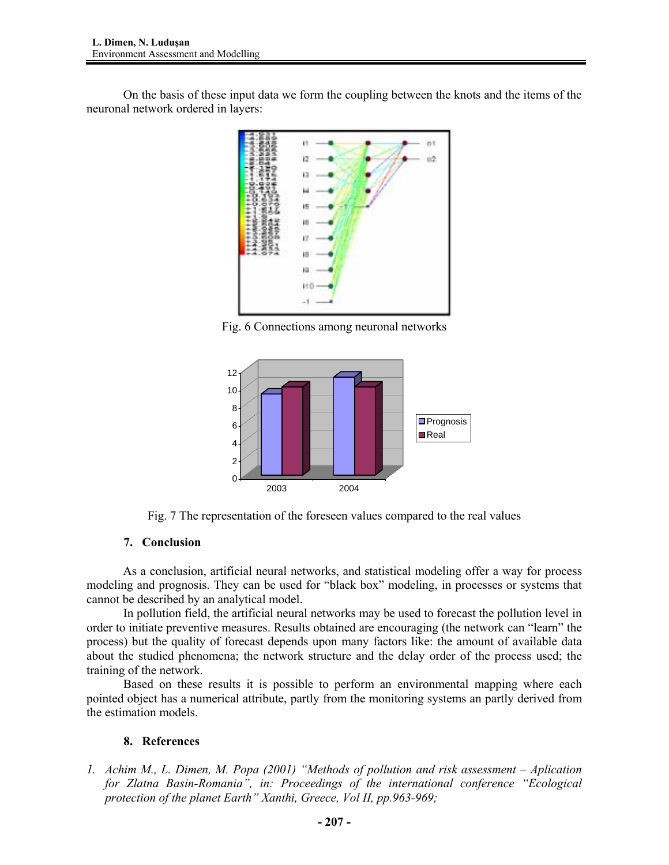On the basis of these input data we form the coupling between the knots and the items of the neuronal network ordered in layers:



Fig. 6 Connections among neuronal networks



Fig. 7 The representation of the foreseen values compared to the real values

# **7. Conclusion**

As a conclusion, artificial neural networks, and statistical modeling offer a way for process modeling and prognosis. They can be used for "black box" modeling, in processes or systems that cannot be described by an analytical model.

 In pollution field, the artificial neural networks may be used to forecast the pollution level in order to initiate preventive measures. Results obtained are encouraging (the network can "learn" the process) but the quality of forecast depends upon many factors like: the amount of available data about the studied phenomena; the network structure and the delay order of the process used; the training of the network.

 Based on these results it is possible to perform an environmental mapping where each pointed object has a numerical attribute, partly from the monitoring systems an partly derived from the estimation models.

## **8. References**

*1. Achim M., L. Dimen, M. Popa (2001) "Methods of pollution and risk assessment – Aplication for Zlatna Basin-Romania", in: Proceedings of the international conference "Ecological protection of the planet Earth" Xanthi, Greece, Vol II, pp.963-969;*